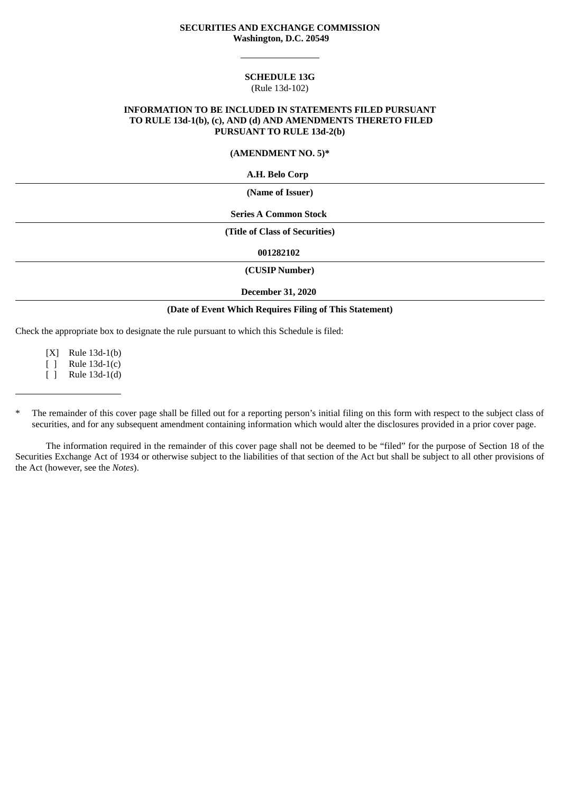### **SECURITIES AND EXCHANGE COMMISSION Washington, D.C. 20549**

#### **SCHEDULE 13G** (Rule 13d-102)

### **INFORMATION TO BE INCLUDED IN STATEMENTS FILED PURSUANT TO RULE 13d-1(b), (c), AND (d) AND AMENDMENTS THERETO FILED PURSUANT TO RULE 13d-2(b)**

### **(AMENDMENT NO. 5)\***

**A.H. Belo Corp**

**(Name of Issuer)**

**Series A Common Stock**

**(Title of Class of Securities)**

**001282102**

**(CUSIP Number)**

#### **December 31, 2020**

### **(Date of Event Which Requires Filing of This Statement)**

Check the appropriate box to designate the rule pursuant to which this Schedule is filed:

[X] Rule 13d-1(b)

[ ] Rule 13d-1(c)

[ ] Rule 13d-1(d)

The information required in the remainder of this cover page shall not be deemed to be "filed" for the purpose of Section 18 of the Securities Exchange Act of 1934 or otherwise subject to the liabilities of that section of the Act but shall be subject to all other provisions of the Act (however, see the *Notes*).

The remainder of this cover page shall be filled out for a reporting person's initial filing on this form with respect to the subject class of securities, and for any subsequent amendment containing information which would alter the disclosures provided in a prior cover page.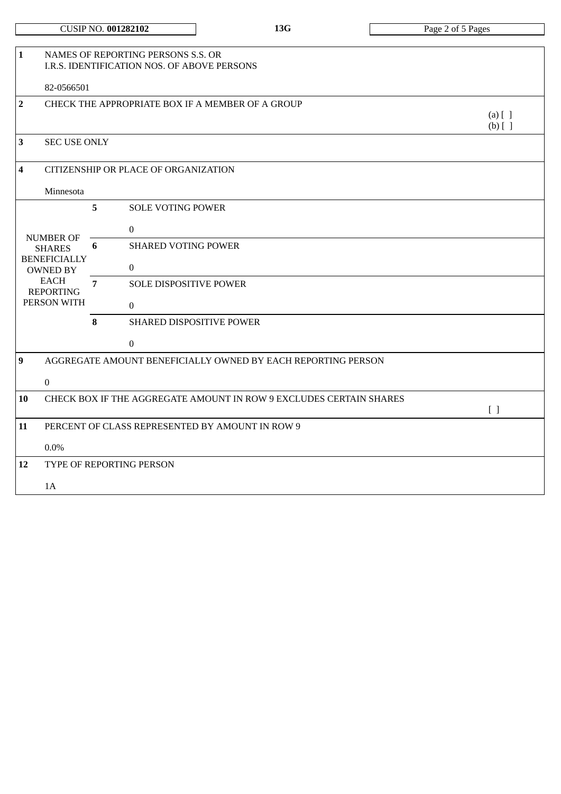| <b>CUSIP NO. 001282102</b> |  |
|----------------------------|--|
|----------------------------|--|

| $\mathbf{1}$                                                    | NAMES OF REPORTING PERSONS S.S. OR<br>I.R.S. IDENTIFICATION NOS. OF ABOVE PERSONS                                             |                |                                                                    |                        |  |  |
|-----------------------------------------------------------------|-------------------------------------------------------------------------------------------------------------------------------|----------------|--------------------------------------------------------------------|------------------------|--|--|
|                                                                 | 82-0566501                                                                                                                    |                |                                                                    |                        |  |  |
| $\overline{2}$                                                  |                                                                                                                               |                | CHECK THE APPROPRIATE BOX IF A MEMBER OF A GROUP                   | $(a)$ [ ]<br>$(b)$ [ ] |  |  |
| $\overline{\mathbf{3}}$                                         | <b>SEC USE ONLY</b>                                                                                                           |                |                                                                    |                        |  |  |
| $\overline{\mathbf{4}}$<br>CITIZENSHIP OR PLACE OF ORGANIZATION |                                                                                                                               |                |                                                                    |                        |  |  |
|                                                                 | Minnesota                                                                                                                     |                |                                                                    |                        |  |  |
|                                                                 |                                                                                                                               | 5              | <b>SOLE VOTING POWER</b>                                           |                        |  |  |
|                                                                 | <b>NUMBER OF</b><br><b>SHARES</b><br><b>BENEFICIALLY</b><br><b>OWNED BY</b><br><b>EACH</b><br><b>REPORTING</b><br>PERSON WITH |                | $\mathbf{0}$                                                       |                        |  |  |
|                                                                 |                                                                                                                               | 6              | <b>SHARED VOTING POWER</b>                                         |                        |  |  |
|                                                                 |                                                                                                                               |                | $\mathbf{0}$                                                       |                        |  |  |
|                                                                 |                                                                                                                               | $\overline{7}$ | <b>SOLE DISPOSITIVE POWER</b>                                      |                        |  |  |
|                                                                 |                                                                                                                               |                | $\mathbf{0}$                                                       |                        |  |  |
|                                                                 |                                                                                                                               | 8              | <b>SHARED DISPOSITIVE POWER</b>                                    |                        |  |  |
|                                                                 |                                                                                                                               |                | $\boldsymbol{0}$                                                   |                        |  |  |
| $\boldsymbol{9}$                                                |                                                                                                                               |                | AGGREGATE AMOUNT BENEFICIALLY OWNED BY EACH REPORTING PERSON       |                        |  |  |
|                                                                 | $\boldsymbol{0}$                                                                                                              |                |                                                                    |                        |  |  |
| 10                                                              |                                                                                                                               |                | CHECK BOX IF THE AGGREGATE AMOUNT IN ROW 9 EXCLUDES CERTAIN SHARES |                        |  |  |
| 11                                                              |                                                                                                                               |                | PERCENT OF CLASS REPRESENTED BY AMOUNT IN ROW 9                    | [ ]                    |  |  |
|                                                                 |                                                                                                                               |                |                                                                    |                        |  |  |
| 12                                                              | $0.0\%$<br>TYPE OF REPORTING PERSON                                                                                           |                |                                                                    |                        |  |  |
|                                                                 |                                                                                                                               |                |                                                                    |                        |  |  |
|                                                                 | 1A                                                                                                                            |                |                                                                    |                        |  |  |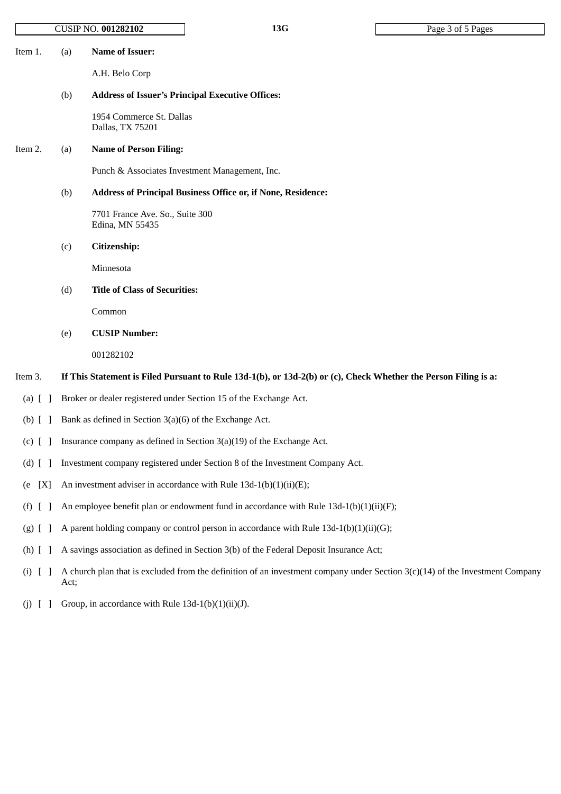|                                     | CUSIP NO. 001282102                                                                                             |                                                    | 13G                                                                                                                            | Page 3 of 5 Pages |
|-------------------------------------|-----------------------------------------------------------------------------------------------------------------|----------------------------------------------------|--------------------------------------------------------------------------------------------------------------------------------|-------------------|
| Item 1.                             | (a)                                                                                                             | <b>Name of Issuer:</b><br>A.H. Belo Corp           |                                                                                                                                |                   |
|                                     | (b)                                                                                                             |                                                    | <b>Address of Issuer's Principal Executive Offices:</b>                                                                        |                   |
|                                     |                                                                                                                 | 1954 Commerce St. Dallas<br>Dallas, TX 75201       |                                                                                                                                |                   |
| Item 2.                             | (a)                                                                                                             | <b>Name of Person Filing:</b>                      |                                                                                                                                |                   |
|                                     |                                                                                                                 |                                                    | Punch & Associates Investment Management, Inc.                                                                                 |                   |
|                                     | (b)                                                                                                             |                                                    | Address of Principal Business Office or, if None, Residence:                                                                   |                   |
|                                     |                                                                                                                 | 7701 France Ave. So., Suite 300<br>Edina, MN 55435 |                                                                                                                                |                   |
|                                     | (c)                                                                                                             | Citizenship:                                       |                                                                                                                                |                   |
|                                     |                                                                                                                 | Minnesota                                          |                                                                                                                                |                   |
|                                     | (d)                                                                                                             | <b>Title of Class of Securities:</b>               |                                                                                                                                |                   |
|                                     |                                                                                                                 | Common                                             |                                                                                                                                |                   |
|                                     | (e)                                                                                                             | <b>CUSIP Number:</b>                               |                                                                                                                                |                   |
|                                     |                                                                                                                 | 001282102                                          |                                                                                                                                |                   |
| Item 3.                             | If This Statement is Filed Pursuant to Rule 13d-1(b), or 13d-2(b) or (c), Check Whether the Person Filing is a: |                                                    |                                                                                                                                |                   |
| (a) $[$ $]$                         |                                                                                                                 |                                                    | Broker or dealer registered under Section 15 of the Exchange Act.                                                              |                   |
| $(b)$ $[$ $]$                       | Bank as defined in Section $3(a)(6)$ of the Exchange Act.                                                       |                                                    |                                                                                                                                |                   |
| $(c)$ [ ]                           | Insurance company as defined in Section 3(a)(19) of the Exchange Act.                                           |                                                    |                                                                                                                                |                   |
| $(d)$ [                             | Investment company registered under Section 8 of the Investment Company Act.                                    |                                                    |                                                                                                                                |                   |
| [X]<br>e)                           |                                                                                                                 |                                                    | An investment adviser in accordance with Rule $13d-1(b)(1)(ii)(E)$ ;                                                           |                   |
| $(f)$ [<br>$\overline{\phantom{a}}$ | An employee benefit plan or endowment fund in accordance with Rule $13d-1(b)(1)(ii)(F)$ ;                       |                                                    |                                                                                                                                |                   |
| $(g)$ [<br>$\overline{\phantom{a}}$ | A parent holding company or control person in accordance with Rule 13d-1(b)(1)(ii)(G);                          |                                                    |                                                                                                                                |                   |
| $(h)$ [                             | A savings association as defined in Section 3(b) of the Federal Deposit Insurance Act;                          |                                                    |                                                                                                                                |                   |
| $(i)$ [                             | Act;                                                                                                            |                                                    | A church plan that is excluded from the definition of an investment company under Section $3(c)(14)$ of the Investment Company |                   |
| (j)                                 |                                                                                                                 | Group, in accordance with Rule 13d-1(b)(1)(ii)(J). |                                                                                                                                |                   |
|                                     |                                                                                                                 |                                                    |                                                                                                                                |                   |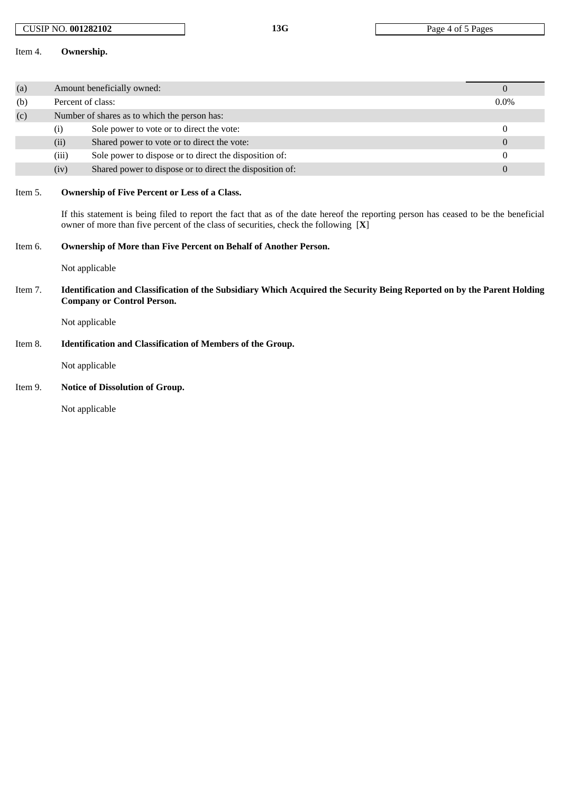# CUSIP NO. **001282102 13G** Page 4 of 5 Pages

### Item 4. **Ownership.**

| (a)     | Amount beneficially owned:                                                                                                                                                                                                                                                           |                                                          |          |  |  |  |  |
|---------|--------------------------------------------------------------------------------------------------------------------------------------------------------------------------------------------------------------------------------------------------------------------------------------|----------------------------------------------------------|----------|--|--|--|--|
| (b)     | Percent of class:                                                                                                                                                                                                                                                                    | $0.0\%$                                                  |          |  |  |  |  |
| (c)     | Number of shares as to which the person has:                                                                                                                                                                                                                                         |                                                          |          |  |  |  |  |
|         | (i)                                                                                                                                                                                                                                                                                  | Sole power to vote or to direct the vote:                | 0        |  |  |  |  |
|         | (ii)                                                                                                                                                                                                                                                                                 | Shared power to vote or to direct the vote:              | $\theta$ |  |  |  |  |
|         | (iii)                                                                                                                                                                                                                                                                                | Sole power to dispose or to direct the disposition of:   |          |  |  |  |  |
|         | (iv)                                                                                                                                                                                                                                                                                 | Shared power to dispose or to direct the disposition of: | 0        |  |  |  |  |
| Item 5. | <b>Ownership of Five Percent or Less of a Class.</b><br>If this statement is being filed to report the fact that as of the date hereof the reporting person has ceased to be the beneficial<br>owner of more than five percent of the class of securities, check the following $[X]$ |                                                          |          |  |  |  |  |

# Item 6. **Ownership of More than Five Percent on Behalf of Another Person.**

Not applicable

Item 7. Identification and Classification of the Subsidiary Which Acquired the Security Being Reported on by the Parent Holding **Company or Control Person.**

Not applicable

Item 8. **Identification and Classification of Members of the Group.**

Not applicable

# Item 9. **Notice of Dissolution of Group.**

Not applicable